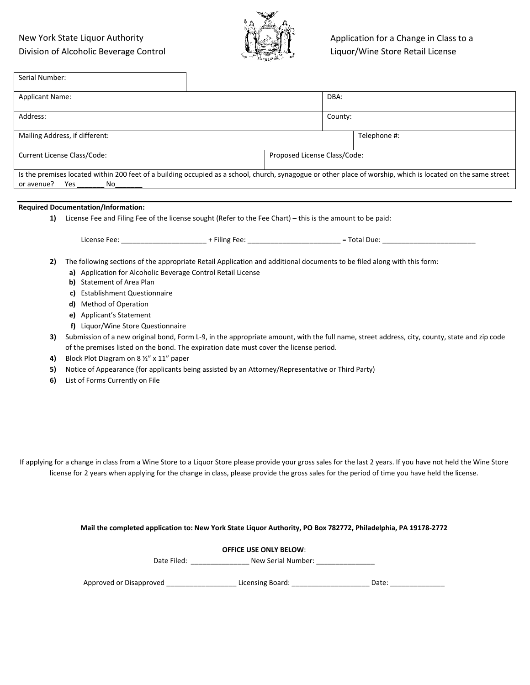#### New York State Liquor Authority Division of Alcoholic Beverage Control



| Serial Number:                                                                                                                                                                                                                                                                                                                                                                                                                                                                                                                                                                                                                                                 |                                                                                  |                               |         |                                                                                                                                              |
|----------------------------------------------------------------------------------------------------------------------------------------------------------------------------------------------------------------------------------------------------------------------------------------------------------------------------------------------------------------------------------------------------------------------------------------------------------------------------------------------------------------------------------------------------------------------------------------------------------------------------------------------------------------|----------------------------------------------------------------------------------|-------------------------------|---------|----------------------------------------------------------------------------------------------------------------------------------------------|
| <b>Applicant Name:</b>                                                                                                                                                                                                                                                                                                                                                                                                                                                                                                                                                                                                                                         |                                                                                  |                               | DBA:    |                                                                                                                                              |
| Address:                                                                                                                                                                                                                                                                                                                                                                                                                                                                                                                                                                                                                                                       |                                                                                  |                               | County: |                                                                                                                                              |
| Mailing Address, if different:                                                                                                                                                                                                                                                                                                                                                                                                                                                                                                                                                                                                                                 |                                                                                  |                               |         | Telephone #:                                                                                                                                 |
| Current License Class/Code:                                                                                                                                                                                                                                                                                                                                                                                                                                                                                                                                                                                                                                    |                                                                                  | Proposed License Class/Code:  |         |                                                                                                                                              |
| Is the premises located within 200 feet of a building occupied as a school, church, synagogue or other place of worship, which is located on the same street                                                                                                                                                                                                                                                                                                                                                                                                                                                                                                   |                                                                                  |                               |         |                                                                                                                                              |
| or avenue?<br>Yes<br>No                                                                                                                                                                                                                                                                                                                                                                                                                                                                                                                                                                                                                                        |                                                                                  |                               |         |                                                                                                                                              |
| <b>Required Documentation/Information:</b>                                                                                                                                                                                                                                                                                                                                                                                                                                                                                                                                                                                                                     |                                                                                  |                               |         |                                                                                                                                              |
| License Fee and Filing Fee of the license sought (Refer to the Fee Chart) - this is the amount to be paid:<br>1)                                                                                                                                                                                                                                                                                                                                                                                                                                                                                                                                               |                                                                                  |                               |         |                                                                                                                                              |
| License Fee: _________________________ + Filing Fee: ___________________________ = Total Due: _______________                                                                                                                                                                                                                                                                                                                                                                                                                                                                                                                                                  |                                                                                  |                               |         |                                                                                                                                              |
| The following sections of the appropriate Retail Application and additional documents to be filed along with this form:<br>2)<br>a) Application for Alcoholic Beverage Control Retail License<br>b) Statement of Area Plan<br>c) Establishment Questionnaire<br>d) Method of Operation<br>e) Applicant's Statement<br>f) Liquor/Wine Store Questionnaire<br>3)<br>of the premises listed on the bond. The expiration date must cover the license period.<br>Block Plot Diagram on 8 1/2" x 11" paper<br>4)<br>Notice of Appearance (for applicants being assisted by an Attorney/Representative or Third Party)<br>5)<br>List of Forms Currently on File<br>6) |                                                                                  |                               |         | Submission of a new original bond, Form L-9, in the appropriate amount, with the full name, street address, city, county, state and zip code |
| If applying for a change in class from a Wine Store to a Liquor Store please provide your gross sales for the last 2 years. If you have not held the Wine Store<br>license for 2 years when applying for the change in class, please provide the gross sales for the period of time you have held the license.<br>Mail the completed application to: New York State Liquor Authority, PO Box 782772, Philadelphia, PA 19178-2772                                                                                                                                                                                                                               |                                                                                  |                               |         |                                                                                                                                              |
|                                                                                                                                                                                                                                                                                                                                                                                                                                                                                                                                                                                                                                                                |                                                                                  |                               |         |                                                                                                                                              |
|                                                                                                                                                                                                                                                                                                                                                                                                                                                                                                                                                                                                                                                                | Date Filed: ___________________ New Serial Number: _____________________________ | <b>OFFICE USE ONLY BELOW:</b> |         |                                                                                                                                              |

Approved or Disapproved \_\_\_\_\_\_\_\_\_\_\_\_\_\_\_\_\_\_\_\_\_\_\_\_Licensing Board: \_\_\_\_\_\_\_\_\_\_\_\_\_\_\_\_\_\_\_\_\_\_\_\_\_\_\_\_\_Date: \_\_\_\_\_\_\_\_\_\_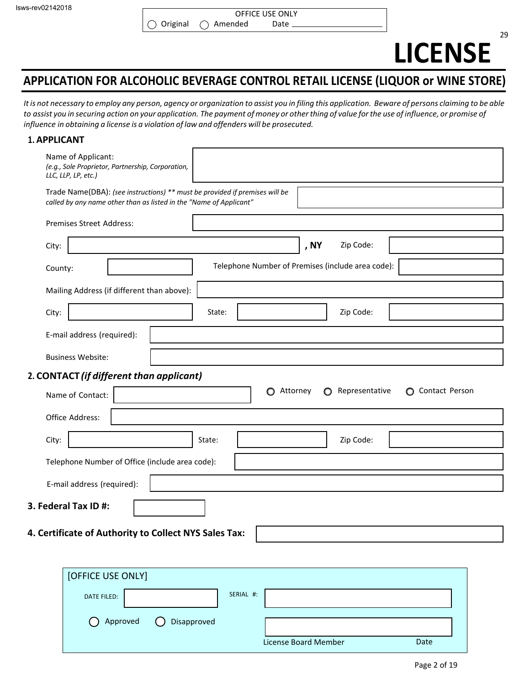# **LICENSE**

#### **APPLICATION FOR ALCOHOLIC BEVERAGE CONTROL RETAIL LICENSE (LIQUOR or WINE STORE)**

It is not necessary to employ any person, agency or organization to assist you in filing this application. Beware of persons claiming to be able to assist you in securing action on your application. The payment of money or other thing of value for the use of influence, or promise of *influence in obtaining a license is a violation of law and offenders will be prosecuted.*

#### **1. APPLICANT**

| Name of Applicant:<br>(e.g., Sole Proprietor, Partnership, Corporation,<br>LLC, LLP, LP, etc.)                                                    |
|---------------------------------------------------------------------------------------------------------------------------------------------------|
| Trade Name(DBA): (see instructions) ** must be provided if premises will be<br>called by any name other than as listed in the "Name of Applicant" |
| <b>Premises Street Address:</b>                                                                                                                   |
| , NY<br>Zip Code:<br>City:                                                                                                                        |
| Telephone Number of Premises (include area code):<br>County:                                                                                      |
| Mailing Address (if different than above):                                                                                                        |
| Zip Code:<br>State:<br>City:                                                                                                                      |
| E-mail address (required):                                                                                                                        |
| <b>Business Website:</b>                                                                                                                          |
| 2. CONTACT (if different than applicant)                                                                                                          |
| Representative<br>Contact Person<br>Attorney<br>O<br>$\circ$<br>Name of Contact:                                                                  |
| Office Address:                                                                                                                                   |
| Zip Code:<br>City:<br>State:                                                                                                                      |
| Telephone Number of Office (include area code):                                                                                                   |
| E-mail address (required):                                                                                                                        |
| 3. Federal Tax ID #:                                                                                                                              |
| 4. Certificate of Authority to Collect NYS Sales Tax:                                                                                             |

| [OFFICE USE ONLY]                       |           |                      |      |
|-----------------------------------------|-----------|----------------------|------|
| <b>DATE FILED:</b>                      | SERIAL #: |                      |      |
| O Approved<br>Disapproved<br>$\sqrt{ }$ |           | License Board Member | Date |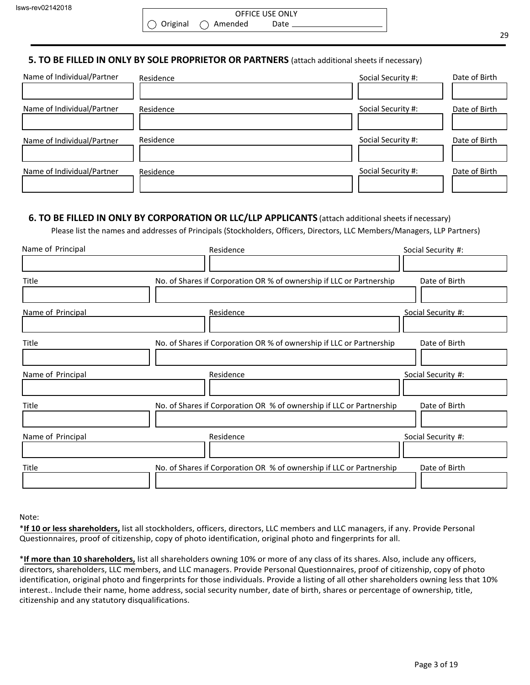|                                        | <b>OFFICE USE ONLY</b> |  |
|----------------------------------------|------------------------|--|
| $\bigcirc$ Original $\bigcirc$ Amended | Date                   |  |

#### **5. TO BE FILLED IN ONLY BY SOLE PROPRIETOR OR PARTNERS** (attach additional sheets if necessary)

| Name of Individual/Partner | Residence | Social Security #: | Date of Birth |
|----------------------------|-----------|--------------------|---------------|
|                            |           |                    |               |
| Name of Individual/Partner | Residence | Social Security #: | Date of Birth |
|                            |           |                    |               |
| Name of Individual/Partner | Residence | Social Security #: | Date of Birth |
|                            |           |                    |               |
| Name of Individual/Partner | Residence | Social Security #: | Date of Birth |
|                            |           |                    |               |

#### **6. TO BE FILLED IN ONLY BY CORPORATION OR LLC/LLP APPLICANTS** (attach additional sheetsif necessary)

Please list the names and addresses of Principals (Stockholders, Officers, Directors, LLC Members/Managers, LLP Partners)

| Name of Principal | Residence                                                            | Social Security #: |
|-------------------|----------------------------------------------------------------------|--------------------|
|                   |                                                                      |                    |
| Title             | No. of Shares if Corporation OR % of ownership if LLC or Partnership | Date of Birth      |
|                   |                                                                      |                    |
| Name of Principal | Residence                                                            | Social Security #: |
|                   |                                                                      |                    |
| Title             | No. of Shares if Corporation OR % of ownership if LLC or Partnership | Date of Birth      |
|                   |                                                                      |                    |
| Name of Principal | Residence                                                            | Social Security #: |
|                   |                                                                      |                    |
| Title             | No. of Shares if Corporation OR % of ownership if LLC or Partnership | Date of Birth      |
|                   |                                                                      |                    |
| Name of Principal | Residence                                                            | Social Security #: |
|                   |                                                                      |                    |
| Title             | No. of Shares if Corporation OR % of ownership if LLC or Partnership | Date of Birth      |
|                   |                                                                      |                    |

#### Note:

\***If 10 or less shareholders,** list all stockholders, officers, directors, LLC members and LLC managers, if any. Provide Personal Questionnaires, proof of citizenship, copy of photo identification, original photo and fingerprints for all.

\***If more than 10 shareholders,** list all shareholders owning 10% or more of any class of its shares. Also, include any officers, directors, shareholders, LLC members, and LLC managers. Provide Personal Questionnaires, proof of citizenship, copy of photo identification, original photo and fingerprints for those individuals. Provide a listing of all other shareholders owning less that 10% interest.. Include their name, home address, social security number, date of birth, shares or percentage of ownership, title, citizenship and any statutory disqualifications.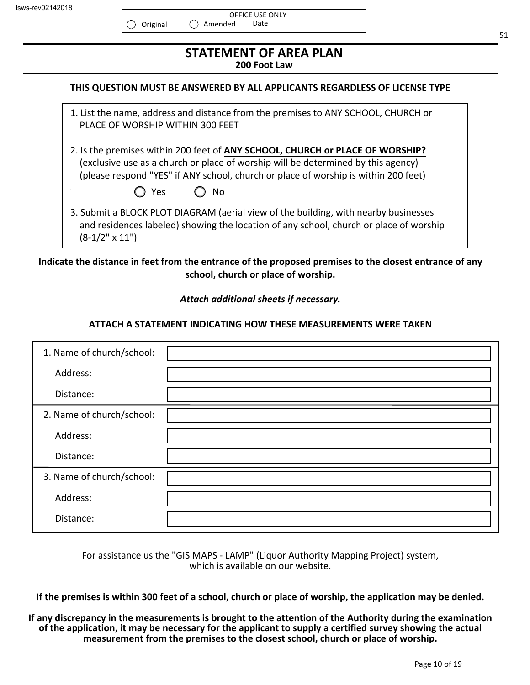| Isws-rev02142018 |  |
|------------------|--|
|                  |  |

| <b>STATEMENT OF AREA PLAN</b><br>200 Foot Law                                                                                                                                                                                                                          |  |
|------------------------------------------------------------------------------------------------------------------------------------------------------------------------------------------------------------------------------------------------------------------------|--|
| THIS QUESTION MUST BE ANSWERED BY ALL APPLICANTS REGARDLESS OF LICENSE TYPE                                                                                                                                                                                            |  |
| 1. List the name, address and distance from the premises to ANY SCHOOL, CHURCH or<br>PLACE OF WORSHIP WITHIN 300 FEET                                                                                                                                                  |  |
| 2. Is the premises within 200 feet of ANY SCHOOL, CHURCH or PLACE OF WORSHIP?<br>(exclusive use as a church or place of worship will be determined by this agency)<br>(please respond "YES" if ANY school, church or place of worship is within 200 feet)<br>No<br>Yes |  |
| 3. Submit a BLOCK PLOT DIAGRAM (aerial view of the building, with nearby businesses<br>and residences labeled) showing the location of any school, church or place of worship<br>$(8-1/2" \times 11")$                                                                 |  |

**Indicate the distance in feet from the entrance of the proposed premises to the closest entrance of any school, church or place of worship.**

*Attach additional sheets if necessary.*

#### **ATTACH A STATEMENT INDICATING HOW THESE MEASUREMENTS WERE TAKEN**

| 1. Name of church/school: |  |
|---------------------------|--|
| Address:                  |  |
| Distance:                 |  |
| 2. Name of church/school: |  |
| Address:                  |  |
| Distance:                 |  |
| 3. Name of church/school: |  |
| Address:                  |  |
| Distance:                 |  |

For assistance us the "GIS MAPS - LAMP" (Liquor Authority Mapping Project) system, which is available on our website.

**If the premises is within 300 feet of a school, church or place of worship, the application may be denied.**

#### **If any discrepancy in the measurements is brought to the attention of the Authority during the examination of the application, it may be necessary for the applicant to supply a certified survey showing the actual measurement from the premises to the closest school, church or place of worship.**

Page 10 of 19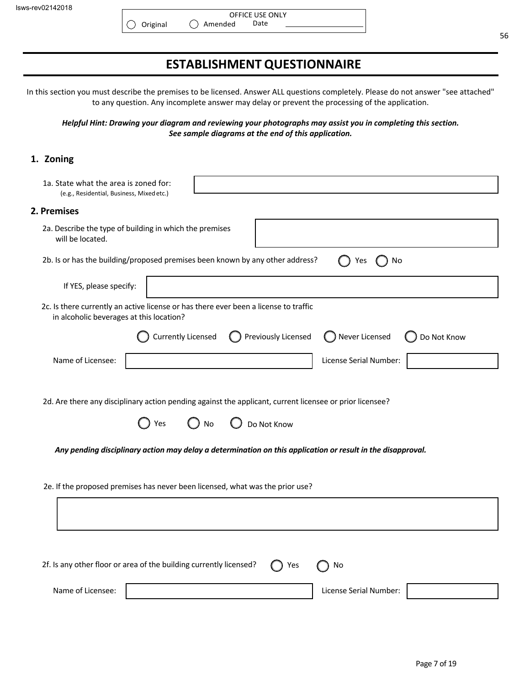#### **ESTABLISHMENT QUESTIONNAIRE**

In this section you must describe the premises to be licensed. Answer ALL questions completely. Please do not answer "see attached" to any question. Any incomplete answer may delay or prevent the processing of the application.

*Helpful Hint: Drawing your diagram and reviewing your photographs may assist you in completing this section. See sample diagrams at the end of this application.*

#### **1. Zoning**

| 1a. State what the area is zoned for:<br>(e.g., Residential, Business, Mixed etc.)                                                   |
|--------------------------------------------------------------------------------------------------------------------------------------|
| 2. Premises                                                                                                                          |
| 2a. Describe the type of building in which the premises<br>will be located.                                                          |
| 2b. Is or has the building/proposed premises been known by any other address?<br>Yes<br>No                                           |
| If YES, please specify:                                                                                                              |
| 2c. Is there currently an active license or has there ever been a license to traffic<br>in alcoholic beverages at this location?     |
| Previously Licensed<br><b>Currently Licensed</b><br>Never Licensed<br>Do Not Know                                                    |
| Name of Licensee:<br>License Serial Number:                                                                                          |
| 2d. Are there any disciplinary action pending against the applicant, current licensee or prior licensee?<br>Yes<br>Do Not Know<br>No |
| Any pending disciplinary action may delay a determination on this application or result in the disapproval.                          |
| 2e. If the proposed premises has never been licensed, what was the prior use?                                                        |
|                                                                                                                                      |
|                                                                                                                                      |
| 2f. Is any other floor or area of the building currently licensed?<br>Yes<br>No                                                      |
| Name of Licensee:<br>License Serial Number:                                                                                          |

56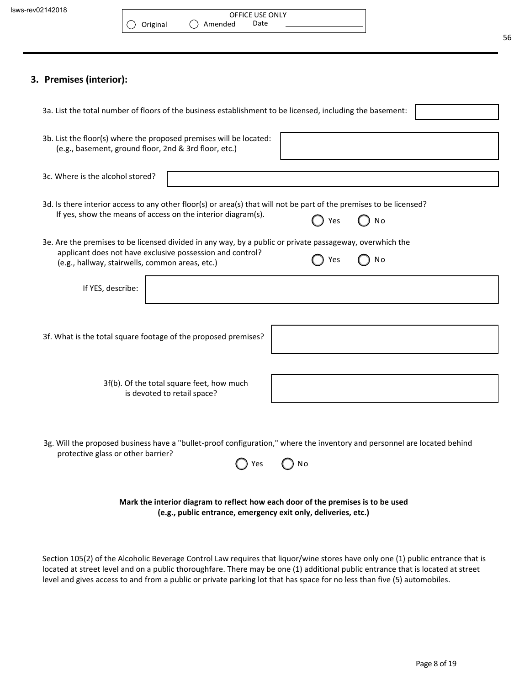#### **3. Premises (interior):**

| 3a. List the total number of floors of the business establishment to be licensed, including the basement:                                                                                                                             |
|---------------------------------------------------------------------------------------------------------------------------------------------------------------------------------------------------------------------------------------|
| 3b. List the floor(s) where the proposed premises will be located:<br>(e.g., basement, ground floor, 2nd & 3rd floor, etc.)                                                                                                           |
| 3c. Where is the alcohol stored?                                                                                                                                                                                                      |
| 3d. Is there interior access to any other floor(s) or area(s) that will not be part of the premises to be licensed?<br>If yes, show the means of access on the interior diagram(s).<br>N <sub>o</sub><br>Yes                          |
| 3e. Are the premises to be licensed divided in any way, by a public or private passageway, overwhich the<br>applicant does not have exclusive possession and control?<br>No<br>Yes<br>(e.g., hallway, stairwells, common areas, etc.) |
| If YES, describe:                                                                                                                                                                                                                     |
| 3f. What is the total square footage of the proposed premises?                                                                                                                                                                        |
|                                                                                                                                                                                                                                       |
| 3f(b). Of the total square feet, how much<br>is devoted to retail space?                                                                                                                                                              |
| 3g. Will the proposed business have a "bullet-proof configuration," where the inventory and personnel are located behind<br>protective glass or other barrier?                                                                        |
| No<br>Yes                                                                                                                                                                                                                             |
| Mark the interior diagram to reflect how each door of the premises is to be used<br>(e.g., public entrance, emergency exit only, deliveries, etc.)                                                                                    |

Section 105(2) of the Alcoholic Beverage Control Law requires that liquor/wine stores have only one (1) public entrance that is located at street level and on a public thoroughfare. There may be one (1) additional public entrance that is located at street level and gives access to and from a public or private parking lot that has space for no less than five (5) automobiles.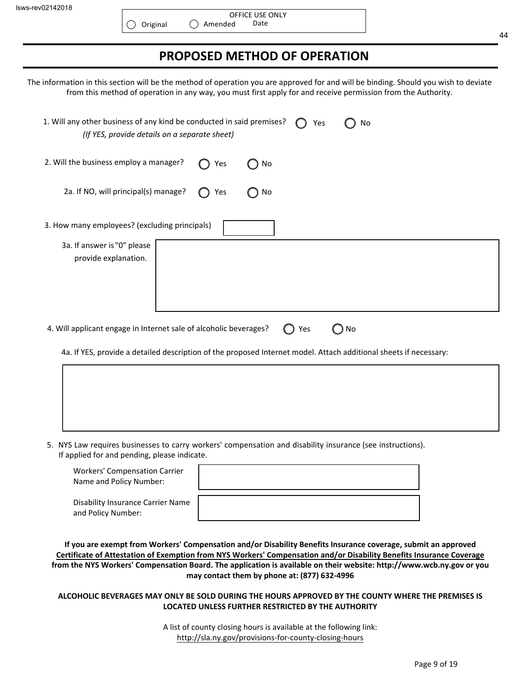$\left(\right)$ 

#### 44

#### **PROPOSED METHOD OF OPERATION**

The information in this section will be the method of operation you are approved for and will be binding. Should you wish to deviate from this method of operation in any way, you must first apply for and receive permission from the Authority.

| 1. Will any other business of any kind be conducted in said premises?<br>Yes<br>No<br>(If YES, provide details on a separate sheet)                                                                                                                               |
|-------------------------------------------------------------------------------------------------------------------------------------------------------------------------------------------------------------------------------------------------------------------|
| 2. Will the business employ a manager?<br>No<br>Yes                                                                                                                                                                                                               |
| 2a. If NO, will principal(s) manage?<br>Yes<br>No                                                                                                                                                                                                                 |
| 3. How many employees? (excluding principals)                                                                                                                                                                                                                     |
| 3a. If answer is "0" please<br>provide explanation.                                                                                                                                                                                                               |
| 4. Will applicant engage in Internet sale of alcoholic beverages?<br>Yes<br>$\bigcirc$ No<br>$\left( \begin{array}{c} 1 \end{array} \right)$<br>4a. If YES, provide a detailed description of the proposed Internet model. Attach additional sheets if necessary: |
|                                                                                                                                                                                                                                                                   |

5. NYS Law requires businesses to carry workers' compensation and disability insurance (see instructions). If applied for and pending, please indicate.

| <b>Workers' Compensation Carrier</b><br>Name and Policy Number: |  |
|-----------------------------------------------------------------|--|
| <b>Disability Insurance Carrier Name</b><br>and Policy Number:  |  |

**If you are exempt from Workers' Compensation and/or Disability Benefits Insurance coverage, submit an approved Certificate of Attestation of Exemption from NYS Workers' Compensation and/or Disability Benefits Insurance Coverage from the NYS Workers' Compensation Board. The application is available on their website: http://www.wcb.ny.gov or you may contact them by phone at: (877) 632-4996**

#### **ALCOHOLIC BEVERAGES MAY ONLY BE SOLD DURING THE HOURS APPROVED BY THE COUNTY WHERE THE PREMISES IS LOCATED UNLESS FURTHER RESTRICTED BY THE AUTHORITY**

A list of county closing hours is available at the following link: http://sla.ny.gov/provisions-for-county-closing-hours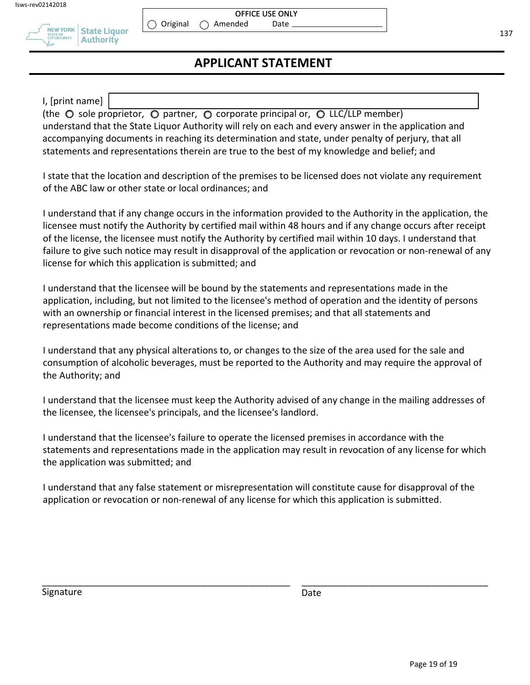

#### OFFICE USE ONLY Amended Date

 $\bigcirc$  Original

#### **APPLICANT STATEMENT**

I, [print name]

(the  $\circ$  sole proprietor,  $\circ$  partner,  $\circ$  corporate principal or,  $\circ$  LLC/LLP member) understand that the State Liquor Authority will rely on each and every answer in the application and accompanying documents in reaching its determination and state, under penalty of perjury, that all statements and representations therein are true to the best of my knowledge and belief; and

I state that the location and description of the premises to be licensed does not violate any requirement of the ABC law or other state or local ordinances; and

I understand that if any change occurs in the information provided to the Authority in the application, the licensee must notify the Authority by certified mail within 48 hours and if any change occurs after receipt of the license, the licensee must notify the Authority by certified mail within 10 days. I understand that failure to give such notice may result in disapproval of the application or revocation or non-renewal of any license for which this application is submitted; and

I understand that the licensee will be bound by the statements and representations made in the application, including, but not limited to the licensee's method of operation and the identity of persons with an ownership or financial interest in the licensed premises; and that all statements and representations made become conditions of the license; and

I understand that any physical alterations to, or changes to the size of the area used for the sale and consumption of alcoholic beverages, must be reported to the Authority and may require the approval of the Authority; and

I understand that the licensee must keep the Authority advised of any change in the mailing addresses of the licensee, the licensee's principals, and the licensee's landlord.

I understand that the licensee's failure to operate the licensed premises in accordance with the statements and representations made in the application may result in revocation of any license for which the application was submitted; and

I understand that any false statement or misrepresentation will constitute cause for disapproval of the application or revocation or non-renewal of any license for which this application is submitted.

\_\_\_\_\_\_\_\_\_\_\_\_\_\_\_\_\_\_\_\_\_\_\_\_\_\_\_\_\_\_\_\_\_\_\_\_\_\_\_\_\_\_\_\_\_\_\_\_ \_\_\_\_\_\_\_\_\_\_\_\_\_\_\_\_\_\_\_\_\_\_\_\_\_\_\_\_\_\_\_\_\_\_\_\_

Signature Date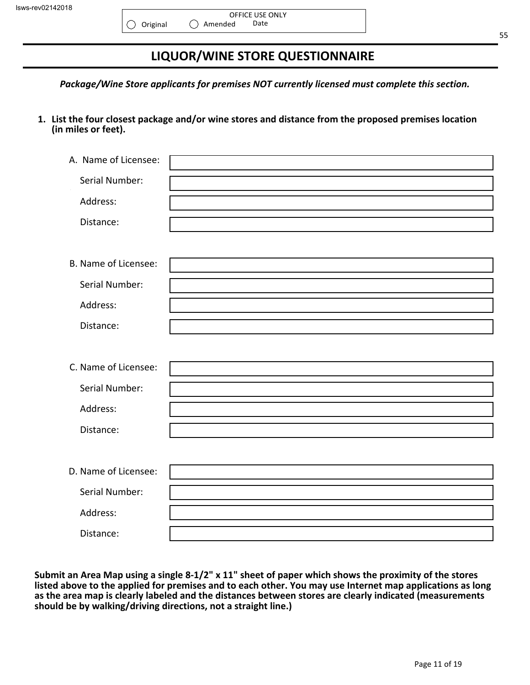$\circ$ 

### **LIQUOR/WINE STORE QUESTIONNAIRE**

*Package/Wine Store applicants for premises NOT currently licensed must complete this section.*

**1. List the four closest package and/or wine stores and distance from the proposed premises location (in miles or feet).**

| A. Name of Licensee:       |  |
|----------------------------|--|
| Serial Number:<br>$\alpha$ |  |
| Address:                   |  |
| Distance:                  |  |
|                            |  |
| B. Name of Licensee:       |  |
| Serial Number:             |  |
| Address:                   |  |
| Distance:                  |  |
|                            |  |
| C. Name of Licensee:       |  |
| Serial Number:             |  |
| Address:                   |  |
| Distance:                  |  |
|                            |  |
| D. Name of Licensee:       |  |
| Serial Number:             |  |
| Address:                   |  |
| Distance:                  |  |

**Submit an Area Map using a single 8-1/2" x 11" sheet of paper which shows the proximity of the stores listed above to the applied for premises and to each other. You may use Internet map applications as long as the area map is clearly labeled and the distances between stores are clearly indicated (measurements should be by walking/driving directions, not a straight line.)**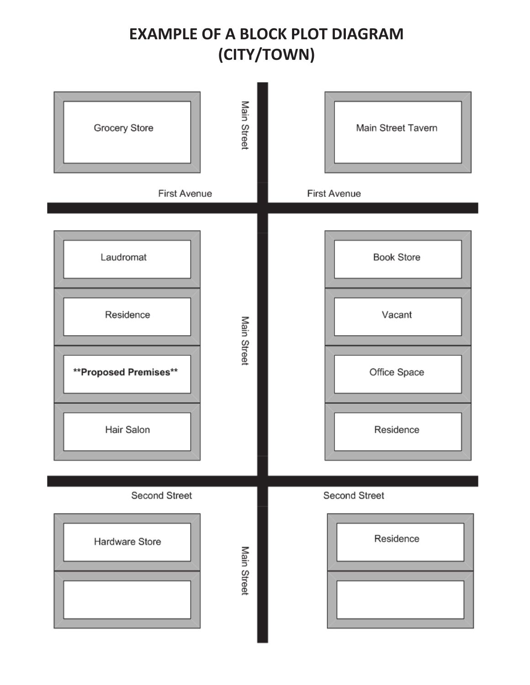## **EXAMPLE OF A BLOCK PLOT DIAGRAM** (CITY/TOWN)

| Main Street<br>Grocery Store<br>First Avenue                                 | Main Street Tavern<br><b>First Avenue</b>                |
|------------------------------------------------------------------------------|----------------------------------------------------------|
| Laudromat<br>Residence<br>Main Street<br>**Proposed Premises**<br>Hair Salon | <b>Book Store</b><br>Vacant<br>Office Space<br>Residence |
| Second Street<br>Hardware Store<br>Main Street                               | Second Street<br>Residence                               |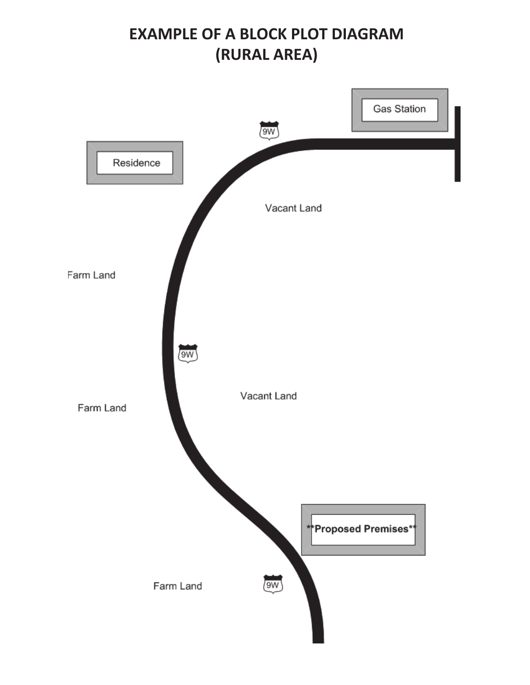## **EXAMPLE OF A BLOCK PLOT DIAGRAM** (RURAL AREA)